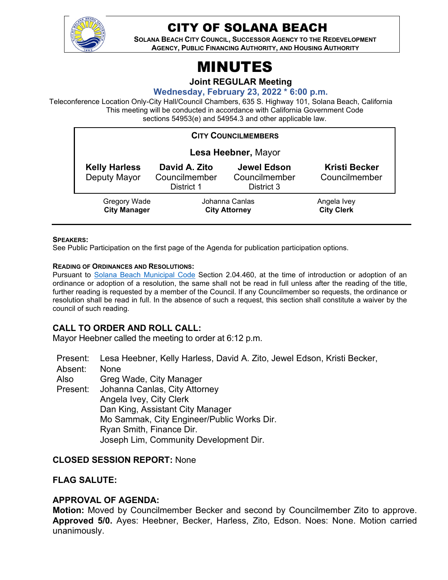

# CITY OF SOLANA BEACH

**SOLANA BEACH CITY COUNCIL, SUCCESSOR AGENCY TO THE REDEVELOPMENT AGENCY, PUBLIC FINANCING AUTHORITY, AND HOUSING AUTHORITY** 

# MINUTES

**Joint REGULAR Meeting**

**Wednesday, February 23, 2022 \* 6:00 p.m.** 

Teleconference Location Only-City Hall/Council Chambers, 635 S. Highway 101, Solana Beach, California This meeting will be conducted in accordance with California Government Code sections 54953(e) and 54954.3 and other applicable law.

| <b>CITY COUNCILMEMBERS</b>           |                                              |                                            |                                       |
|--------------------------------------|----------------------------------------------|--------------------------------------------|---------------------------------------|
| Lesa Heebner, Mayor                  |                                              |                                            |                                       |
| <b>Kelly Harless</b><br>Deputy Mayor | David A. Zito<br>Councilmember<br>District 1 | Jewel Edson<br>Councilmember<br>District 3 | <b>Kristi Becker</b><br>Councilmember |
| Gregory Wade<br><b>City Manager</b>  | Johanna Canlas<br><b>City Attorney</b>       |                                            | Angela Ivey<br><b>City Clerk</b>      |

#### **SPEAKERS:**

See Public Participation on the first page of the Agenda for publication participation options.

#### **READING OF ORDINANCES AND RESOLUTIONS:**

Pursuant to [Solana Beach Municipal Code](https://www.codepublishing.com/CA/SolanaBeach/) Section 2.04.460, at the time of introduction or adoption of an ordinance or adoption of a resolution, the same shall not be read in full unless after the reading of the title, further reading is requested by a member of the Council. If any Councilmember so requests, the ordinance or resolution shall be read in full. In the absence of such a request, this section shall constitute a waiver by the council of such reading.

# **CALL TO ORDER AND ROLL CALL:**

Mayor Heebner called the meeting to order at 6:12 p.m.

Present: Lesa Heebner, Kelly Harless, David A. Zito, Jewel Edson, Kristi Becker,

Absent: None

Also Greg Wade, City Manager

Present: Johanna Canlas, City Attorney Angela Ivey, City Clerk Dan King, Assistant City Manager Mo Sammak, City Engineer/Public Works Dir. Ryan Smith, Finance Dir.

# Joseph Lim, Community Development Dir.

# **CLOSED SESSION REPORT:** None

# **FLAG SALUTE:**

# **APPROVAL OF AGENDA:**

**Motion:** Moved by Councilmember Becker and second by Councilmember Zito to approve. **Approved 5/0.** Ayes: Heebner, Becker, Harless, Zito, Edson. Noes: None. Motion carried unanimously.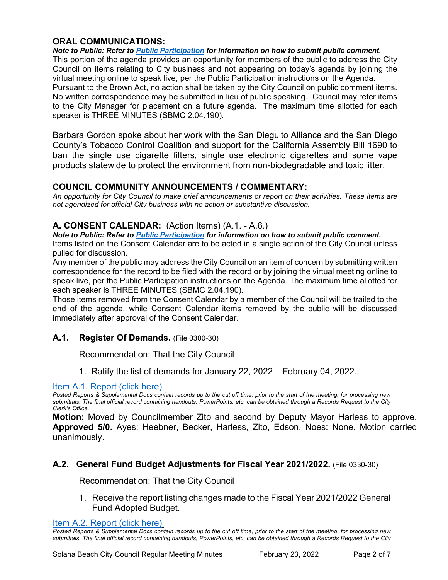# **ORAL COMMUNICATIONS:**

*Note to Public: Refer to Public Participation for information on how to submit public comment.*  This portion of the agenda provides an opportunity for members of the public to address the City Council on items relating to City business and not appearing on today's agenda by joining the virtual meeting online to speak live, per the Public Participation instructions on the Agenda. Pursuant to the Brown Act, no action shall be taken by the City Council on public comment items. No written correspondence may be submitted in lieu of public speaking. Council may refer items to the City Manager for placement on a future agenda. The maximum time allotted for each speaker is THREE MINUTES (SBMC 2.04.190).

Barbara Gordon spoke about her work with the San Dieguito Alliance and the San Diego County's Tobacco Control Coalition and support for the California Assembly Bill 1690 to ban the single use cigarette filters, single use electronic cigarettes and some vape products statewide to protect the environment from non-biodegradable and toxic litter.

# **COUNCIL COMMUNITY ANNOUNCEMENTS / COMMENTARY:**

*An opportunity for City Council to make brief announcements or report on their activities. These items are not agendized for official City business with no action or substantive discussion.* 

# **A. CONSENT CALENDAR:** (Action Items) (A.1. - A.6.)

*Note to Public: Refer to Public Participation for information on how to submit public comment.*  Items listed on the Consent Calendar are to be acted in a single action of the City Council unless pulled for discussion.

Any member of the public may address the City Council on an item of concern by submitting written correspondence for the record to be filed with the record or by joining the virtual meeting online to speak live, per the Public Participation instructions on the Agenda. The maximum time allotted for each speaker is THREE MINUTES (SBMC 2.04.190).

Those items removed from the Consent Calendar by a member of the Council will be trailed to the end of the agenda, while Consent Calendar items removed by the public will be discussed immediately after approval of the Consent Calendar.

# **A.1. Register Of Demands.** (File 0300-30)

Recommendation: That the City Council

1. Ratify the list of demands for January 22, 2022 – February 04, 2022.

#### [Item A.1. Report \(click here\)](https://solanabeach.govoffice3.com/vertical/Sites/%7B840804C2-F869-4904-9AE3-720581350CE7%7D/uploads/A.1._Report_(click_here)_2-23-22_-_O.pdf)

*Posted Reports & Supplemental Docs contain records up to the cut off time, prior to the start of the meeting, for processing new submittals. The final official record containing handouts, PowerPoints, etc. can be obtained through a Records Request to the City Clerk's Office.*

**Motion:** Moved by Councilmember Zito and second by Deputy Mayor Harless to approve. **Approved 5/0.** Ayes: Heebner, Becker, Harless, Zito, Edson. Noes: None. Motion carried unanimously.

# **A.2. General Fund Budget Adjustments for Fiscal Year 2021/2022.** (File 0330-30)

Recommendation: That the City Council

1. Receive the report listing changes made to the Fiscal Year 2021/2022 General Fund Adopted Budget.

#### [Item A.2. Report \(click here\)](https://solanabeach.govoffice3.com/vertical/Sites/%7B840804C2-F869-4904-9AE3-720581350CE7%7D/uploads/A.2._Report_(click_here)_2-23-22_-_O.pdf)

*Posted Reports & Supplemental Docs contain records up to the cut off time, prior to the start of the meeting, for processing new submittals. The final official record containing handouts, PowerPoints, etc. can be obtained through a Records Request to the City*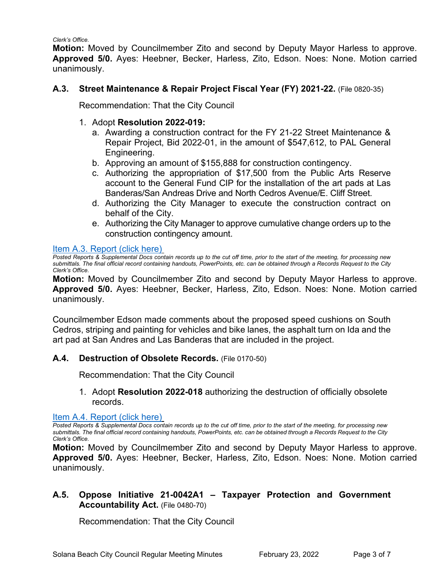*Clerk's Office.*

**Motion:** Moved by Councilmember Zito and second by Deputy Mayor Harless to approve. **Approved 5/0.** Ayes: Heebner, Becker, Harless, Zito, Edson. Noes: None. Motion carried unanimously.

#### **A.3. Street Maintenance & Repair Project Fiscal Year (FY) 2021-22.** (File 0820-35)

Recommendation: That the City Council

#### 1. Adopt **Resolution 2022-019:**

- a. Awarding a construction contract for the FY 21-22 Street Maintenance & Repair Project, Bid 2022-01, in the amount of \$547,612, to PAL General Engineering.
- b. Approving an amount of \$155,888 for construction contingency.
- c. Authorizing the appropriation of \$17,500 from the Public Arts Reserve account to the General Fund CIP for the installation of the art pads at Las Banderas/San Andreas Drive and North Cedros Avenue/E. Cliff Street.
- d. Authorizing the City Manager to execute the construction contract on behalf of the City.
- e. Authorizing the City Manager to approve cumulative change orders up to the construction contingency amount.

#### [Item A.3. Report \(click here\)](https://solanabeach.govoffice3.com/vertical/Sites/%7B840804C2-F869-4904-9AE3-720581350CE7%7D/uploads/A.3._Report_(click_here)_2-23-22_-_O.pdf)

*Posted Reports & Supplemental Docs contain records up to the cut off time, prior to the start of the meeting, for processing new submittals. The final official record containing handouts, PowerPoints, etc. can be obtained through a Records Request to the City Clerk's Office.*

**Motion:** Moved by Councilmember Zito and second by Deputy Mayor Harless to approve. **Approved 5/0.** Ayes: Heebner, Becker, Harless, Zito, Edson. Noes: None. Motion carried unanimously.

Councilmember Edson made comments about the proposed speed cushions on South Cedros, striping and painting for vehicles and bike lanes, the asphalt turn on Ida and the art pad at San Andres and Las Banderas that are included in the project.

# **A.4. Destruction of Obsolete Records.** (File 0170-50)

Recommendation: That the City Council

1. Adopt **Resolution 2022-018** authorizing the destruction of officially obsolete records.

[Item A.4. Report \(click here\)](https://solanabeach.govoffice3.com/vertical/Sites/%7B840804C2-F869-4904-9AE3-720581350CE7%7D/uploads/A.4._Report_(click_here)_2-23-22_-_O.pdf) 

*Posted Reports & Supplemental Docs contain records up to the cut off time, prior to the start of the meeting, for processing new submittals. The final official record containing handouts, PowerPoints, etc. can be obtained through a Records Request to the City Clerk's Office.*

**Motion:** Moved by Councilmember Zito and second by Deputy Mayor Harless to approve. **Approved 5/0.** Ayes: Heebner, Becker, Harless, Zito, Edson. Noes: None. Motion carried unanimously.

# **A.5. Oppose Initiative 21-0042A1 – Taxpayer Protection and Government Accountability Act.** (File 0480-70)

Recommendation: That the City Council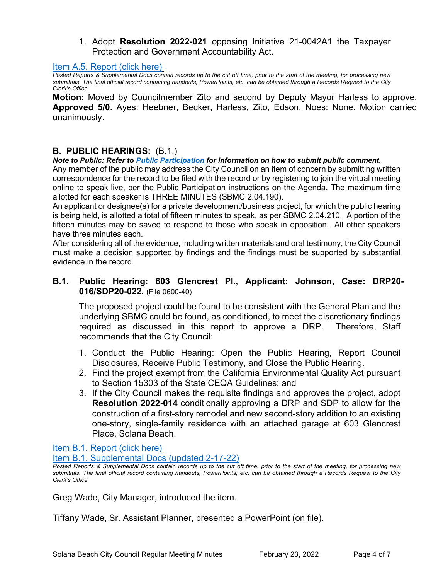1. Adopt **Resolution 2022-021** opposing Initiative 21-0042A1 the Taxpayer Protection and Government Accountability Act.

#### [Item A.5. Report \(click here\)](https://solanabeach.govoffice3.com/vertical/Sites/%7B840804C2-F869-4904-9AE3-720581350CE7%7D/uploads/A.5._Report_(click_here)_2-23-22_-_O.pdf)

*Posted Reports & Supplemental Docs contain records up to the cut off time, prior to the start of the meeting, for processing new submittals. The final official record containing handouts, PowerPoints, etc. can be obtained through a Records Request to the City Clerk's Office.*

**Motion:** Moved by Councilmember Zito and second by Deputy Mayor Harless to approve. **Approved 5/0.** Ayes: Heebner, Becker, Harless, Zito, Edson. Noes: None. Motion carried unanimously.

#### **B. PUBLIC HEARINGS:** (B.1.)

#### *Note to Public: Refer to Public Participation for information on how to submit public comment.*

Any member of the public may address the City Council on an item of concern by submitting written correspondence for the record to be filed with the record or by registering to join the virtual meeting online to speak live, per the Public Participation instructions on the Agenda. The maximum time allotted for each speaker is THREE MINUTES (SBMC 2.04.190).

An applicant or designee(s) for a private development/business project, for which the public hearing is being held, is allotted a total of fifteen minutes to speak, as per SBMC 2.04.210. A portion of the fifteen minutes may be saved to respond to those who speak in opposition. All other speakers have three minutes each.

After considering all of the evidence, including written materials and oral testimony, the City Council must make a decision supported by findings and the findings must be supported by substantial evidence in the record.

#### **B.1. Public Hearing: 603 Glencrest Pl., Applicant: Johnson, Case: DRP20- 016/SDP20-022.** (File 0600-40)

The proposed project could be found to be consistent with the General Plan and the underlying SBMC could be found, as conditioned, to meet the discretionary findings required as discussed in this report to approve a DRP. Therefore, Staff recommends that the City Council:

- 1. Conduct the Public Hearing: Open the Public Hearing, Report Council Disclosures, Receive Public Testimony, and Close the Public Hearing.
- 2. Find the project exempt from the California Environmental Quality Act pursuant to Section 15303 of the State CEQA Guidelines; and
- 3. If the City Council makes the requisite findings and approves the project, adopt **Resolution 2022-014** conditionally approving a DRP and SDP to allow for the construction of a first-story remodel and new second-story addition to an existing one-story, single-family residence with an attached garage at 603 Glencrest Place, Solana Beach.

[Item B.1. Report \(click here\)](https://solanabeach.govoffice3.com/vertical/Sites/%7B840804C2-F869-4904-9AE3-720581350CE7%7D/uploads/B.1._Report_(click_here)_2-23-22_-_O.pdf)

[Item B.1. Supplemental Docs \(updated 2-17-22\)](https://solanabeach.govoffice3.com/vertical/Sites/%7B840804C2-F869-4904-9AE3-720581350CE7%7D/uploads/B.1._Supp_Docs_2-17_-_O.pdf)

*Posted Reports & Supplemental Docs contain records up to the cut off time, prior to the start of the meeting, for processing new submittals. The final official record containing handouts, PowerPoints, etc. can be obtained through a Records Request to the City Clerk's Office.*

Greg Wade, City Manager, introduced the item.

Tiffany Wade, Sr. Assistant Planner, presented a PowerPoint (on file).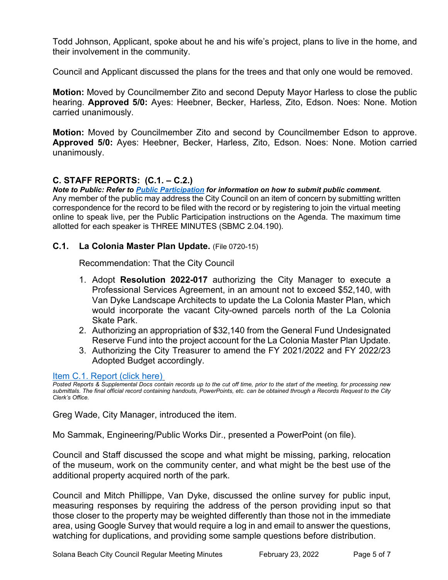Todd Johnson, Applicant, spoke about he and his wife's project, plans to live in the home, and their involvement in the community.

Council and Applicant discussed the plans for the trees and that only one would be removed.

**Motion:** Moved by Councilmember Zito and second Deputy Mayor Harless to close the public hearing. **Approved 5/0:** Ayes: Heebner, Becker, Harless, Zito, Edson. Noes: None. Motion carried unanimously.

**Motion:** Moved by Councilmember Zito and second by Councilmember Edson to approve. **Approved 5/0:** Ayes: Heebner, Becker, Harless, Zito, Edson. Noes: None. Motion carried unanimously.

# **C. STAFF REPORTS: (C.1. – C.2.)**

*Note to Public: Refer to Public Participation for information on how to submit public comment.*  Any member of the public may address the City Council on an item of concern by submitting written correspondence for the record to be filed with the record or by registering to join the virtual meeting online to speak live, per the Public Participation instructions on the Agenda. The maximum time allotted for each speaker is THREE MINUTES (SBMC 2.04.190).

#### **C.1. La Colonia Master Plan Update.** (File 0720-15)

Recommendation: That the City Council

- 1. Adopt **Resolution 2022-017** authorizing the City Manager to execute a Professional Services Agreement, in an amount not to exceed \$52,140, with Van Dyke Landscape Architects to update the La Colonia Master Plan, which would incorporate the vacant City-owned parcels north of the La Colonia Skate Park.
- 2. Authorizing an appropriation of \$32,140 from the General Fund Undesignated Reserve Fund into the project account for the La Colonia Master Plan Update.
- 3. Authorizing the City Treasurer to amend the FY 2021/2022 and FY 2022/23 Adopted Budget accordingly.

#### [Item C.1. Report \(click here\)](https://solanabeach.govoffice3.com/vertical/Sites/%7B840804C2-F869-4904-9AE3-720581350CE7%7D/uploads/C.1._Report_(click_here)_2-23-22_-_O.pdf)

*Posted Reports & Supplemental Docs contain records up to the cut off time, prior to the start of the meeting, for processing new submittals. The final official record containing handouts, PowerPoints, etc. can be obtained through a Records Request to the City Clerk's Office.*

Greg Wade, City Manager, introduced the item.

Mo Sammak, Engineering/Public Works Dir., presented a PowerPoint (on file).

Council and Staff discussed the scope and what might be missing, parking, relocation of the museum, work on the community center, and what might be the best use of the additional property acquired north of the park.

Council and Mitch Phillippe, Van Dyke, discussed the online survey for public input, measuring responses by requiring the address of the person providing input so that those closer to the property may be weighted differently than those not in the immediate area, using Google Survey that would require a log in and email to answer the questions, watching for duplications, and providing some sample questions before distribution.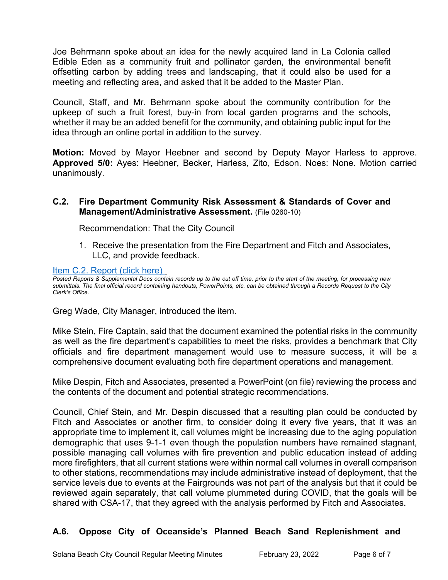Joe Behrmann spoke about an idea for the newly acquired land in La Colonia called Edible Eden as a community fruit and pollinator garden, the environmental benefit offsetting carbon by adding trees and landscaping, that it could also be used for a meeting and reflecting area, and asked that it be added to the Master Plan.

Council, Staff, and Mr. Behrmann spoke about the community contribution for the upkeep of such a fruit forest, buy-in from local garden programs and the schools, whether it may be an added benefit for the community, and obtaining public input for the idea through an online portal in addition to the survey.

**Motion:** Moved by Mayor Heebner and second by Deputy Mayor Harless to approve. **Approved 5/0:** Ayes: Heebner, Becker, Harless, Zito, Edson. Noes: None. Motion carried unanimously.

#### **C.2. Fire Department Community Risk Assessment & Standards of Cover and Management/Administrative Assessment.** (File 0260-10)

Recommendation: That the City Council

1. Receive the presentation from the Fire Department and Fitch and Associates, LLC, and provide feedback.

#### [Item C.2. Report](https://solanabeach.govoffice3.com/vertical/Sites/%7B840804C2-F869-4904-9AE3-720581350CE7%7D/uploads/C.2._Report_(click_here)_2-23-22_-_O.pdf) (click here)

*Posted Reports & Supplemental Docs contain records up to the cut off time, prior to the start of the meeting, for processing new submittals. The final official record containing handouts, PowerPoints, etc. can be obtained through a Records Request to the City Clerk's Office.*

Greg Wade, City Manager, introduced the item.

Mike Stein, Fire Captain, said that the document examined the potential risks in the community as well as the fire department's capabilities to meet the risks, provides a benchmark that City officials and fire department management would use to measure success, it will be a comprehensive document evaluating both fire department operations and management.

Mike Despin, Fitch and Associates, presented a PowerPoint (on file) reviewing the process and the contents of the document and potential strategic recommendations.

Council, Chief Stein, and Mr. Despin discussed that a resulting plan could be conducted by Fitch and Associates or another firm, to consider doing it every five years, that it was an appropriate time to implement it, call volumes might be increasing due to the aging population demographic that uses 9-1-1 even though the population numbers have remained stagnant, possible managing call volumes with fire prevention and public education instead of adding more firefighters, that all current stations were within normal call volumes in overall comparison to other stations, recommendations may include administrative instead of deployment, that the service levels due to events at the Fairgrounds was not part of the analysis but that it could be reviewed again separately, that call volume plummeted during COVID, that the goals will be shared with CSA-17, that they agreed with the analysis performed by Fitch and Associates.

# **A.6. Oppose City of Oceanside's Planned Beach Sand Replenishment and**